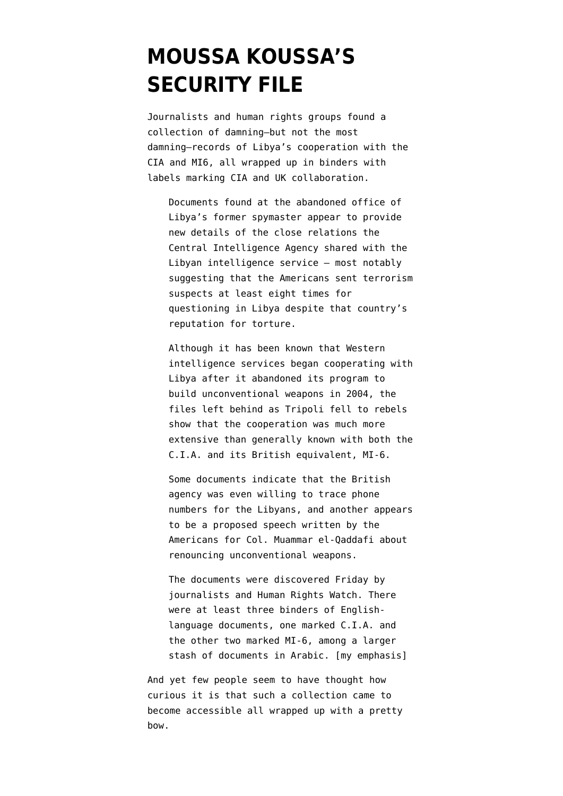## **[MOUSSA KOUSSA'S](https://www.emptywheel.net/2011/09/03/moussa-koussas-security-file/) [SECURITY FILE](https://www.emptywheel.net/2011/09/03/moussa-koussas-security-file/)**

Journalists and human rights groups [found a](https://www.nytimes.com/2011/09/03/world/africa/03libya.html) [collection](https://www.nytimes.com/2011/09/03/world/africa/03libya.html) of damning–but not the most damning–records of Libya's cooperation with the CIA and MI6, all wrapped up in binders with labels marking CIA and UK collaboration.

Documents found at the abandoned office of Libya's former spymaster appear to provide new details of the close relations the Central Intelligence Agency shared with the Libyan intelligence service – most notably suggesting that the Americans sent terrorism suspects at least eight times for questioning in Libya despite that country's reputation for torture.

Although it has been known that Western intelligence services began cooperating with Libya after it abandoned its program to build unconventional weapons in 2004, the files left behind as Tripoli fell to rebels show that the cooperation was much more extensive than generally known with both the C.I.A. and its British equivalent, MI-6.

Some documents indicate that the British agency was even willing to trace phone numbers for the Libyans, and another appears to be a proposed speech written by the Americans for Col. Muammar el-Qaddafi about renouncing unconventional weapons.

The documents were discovered Friday by journalists and Human Rights Watch. There were at least three binders of Englishlanguage documents, one marked C.I.A. and the other two marked MI-6, among a larger stash of documents in Arabic. [my emphasis]

And yet few people seem to have thought how curious it is that such a collection came to become accessible all wrapped up with a pretty bow.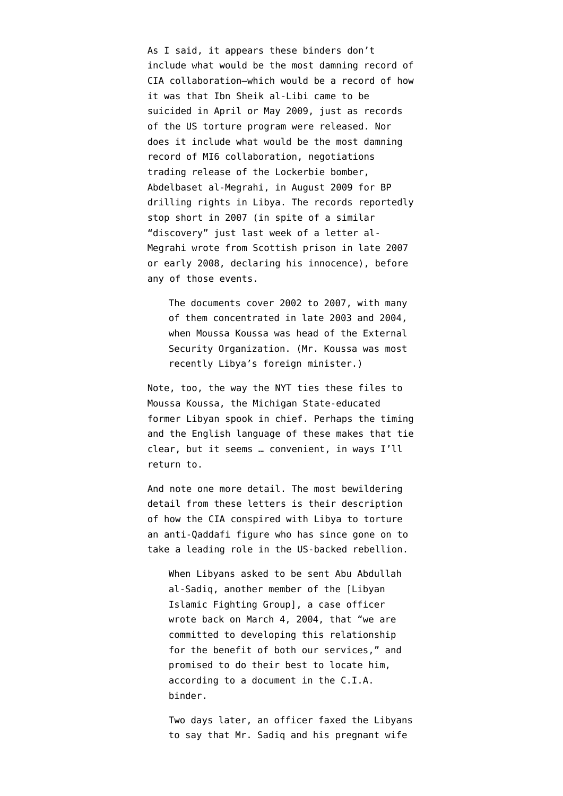As I said, it appears these binders don't include what would be the most damning record of CIA collaboration–which would be a record of how it was that Ibn Sheik al-Libi [came to be](http://www.andyworthington.co.uk/2009/05/12/the-suicide-of-ibn-al-shaykh-al-libi-why-the-media-silence/) [suicided](http://www.andyworthington.co.uk/2009/05/12/the-suicide-of-ibn-al-shaykh-al-libi-why-the-media-silence/) in April or May 2009, just as records of the US torture program were released. Nor does it include what would be the most damning record of MI6 collaboration, negotiations trading release of the Lockerbie bomber, Abdelbaset al-Megrahi, in August 2009 for BP drilling rights in Libya. The records reportedly stop short in 2007 (in spite of a similar "[discovery"](http://online.wsj.com/article/SB10001424053111904332804576537984093500042.html) just last week of a letter al-Megrahi wrote from Scottish prison in late 2007 or early 2008, declaring his innocence), before any of those events.

The documents cover 2002 to 2007, with many of them concentrated in late 2003 and 2004, when Moussa Koussa was head of the External Security Organization. (Mr. Koussa was most recently Libya's foreign minister.)

Note, too, the way the NYT ties these files to Moussa Koussa, the Michigan State-educated former Libyan spook in chief. Perhaps the timing and the English language of these makes that tie clear, but it seems … convenient, in ways I'll return to.

And note one more detail. The most bewildering detail from these letters is their description of how the CIA conspired with Libya to torture an anti-Qaddafi figure who has since gone on to take a leading role in the US-backed rebellion.

When Libyans asked to be sent Abu Abdullah al-Sadiq, another member of the [Libyan Islamic Fighting Group], a case officer wrote back on March 4, 2004, that "we are committed to developing this relationship for the benefit of both our services," and promised to do their best to locate him, according to a document in the C.I.A. binder.

Two days later, an officer faxed the Libyans to say that Mr. Sadiq and his pregnant wife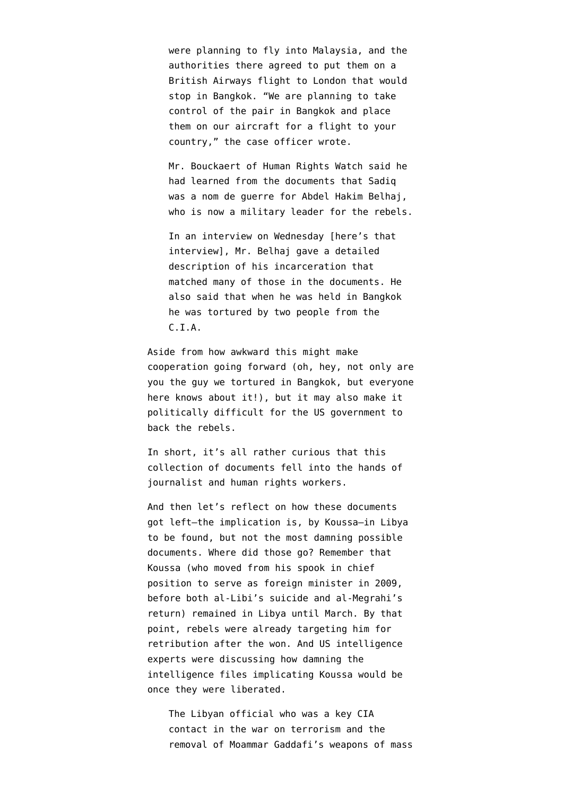were planning to fly into Malaysia, and the authorities there agreed to put them on a British Airways flight to London that would stop in Bangkok. "We are planning to take control of the pair in Bangkok and place them on our aircraft for a flight to your country," the case officer wrote.

Mr. Bouckaert of Human Rights Watch said he had learned from the documents that Sadiq was a nom de guerre for Abdel Hakim Belhaj, who is now a military leader for the rebels.

In an interview on Wednesday [\[here's that](https://www.nytimes.com/2011/09/02/world/africa/02islamist.html?_r=1&pagewanted=print) [interview](https://www.nytimes.com/2011/09/02/world/africa/02islamist.html?_r=1&pagewanted=print)], Mr. Belhaj gave a detailed description of his incarceration that matched many of those in the documents. He also said that when he was held in Bangkok he was tortured by two people from the C.I.A.

Aside from how awkward this might make cooperation going forward (oh, hey, not only are you the guy we tortured in Bangkok, but everyone here knows about it!), but it may also make it politically difficult for the US government to back the rebels.

In short, it's all rather curious that this collection of documents fell into the hands of journalist and human rights workers.

And then let's reflect on how these documents got left–the implication is, by Koussa–in Libya to be found, but not the most damning possible documents. Where did those go? Remember that Koussa (who moved from his spook in chief position to serve as foreign minister in 2009, before both al-Libi's suicide and al-Megrahi's return) remained in Libya until March. By that point, rebels were already targeting him for retribution after the won. And US intelligence experts were discussing how damning the intelligence files implicating Koussa would be once they were liberated.

The Libyan official who was a key CIA contact in the war on terrorism and the removal of Moammar Gaddafi's weapons of mass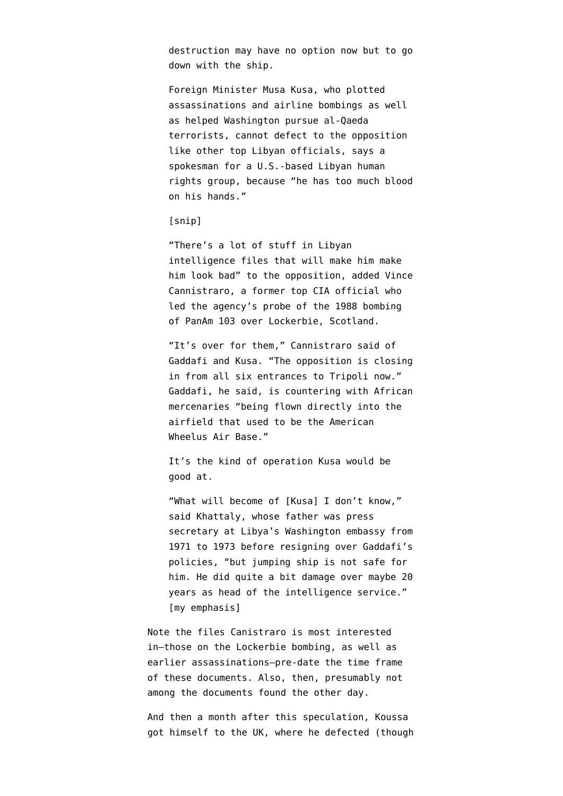destruction may have no option now but to [go](http://www.washingtonpost.com/wp-dyn/content/article/2011/02/23/AR2011022303342.html) [down with the ship](http://www.washingtonpost.com/wp-dyn/content/article/2011/02/23/AR2011022303342.html).

Foreign Minister Musa Kusa, who plotted assassinations and airline bombings as well as helped Washington pursue al-Qaeda terrorists, cannot defect to the opposition like other top Libyan officials, says a spokesman for a U.S.-based Libyan human rights group, because "he has too much blood on his hands."

## [snip]

"There's a lot of stuff in Libyan intelligence files that will make him make him look bad" to the opposition, added Vince Cannistraro, a former top CIA official who led the agency's probe of the 1988 bombing of PanAm 103 over Lockerbie, Scotland.

"It's over for them," Cannistraro said of Gaddafi and Kusa. "The opposition is closing in from all six entrances to Tripoli now." Gaddafi, he said, is countering with African mercenaries "being flown directly into the airfield that used to be the American Wheelus Air Base."

It's the kind of operation Kusa would be good at.

"What will become of [Kusa] I don't know," said Khattaly, whose father was press secretary at Libya's Washington embassy from 1971 to 1973 before resigning over Gaddafi's policies, "but jumping ship is not safe for him. He did quite a bit damage over maybe 20 years as head of the intelligence service." [my emphasis]

Note the files Canistraro is most interested in–those on the Lockerbie bombing, as well as earlier assassinations–pre-date the time frame of these documents. Also, then, presumably not among the documents found the other day.

And then a month after this speculation, Koussa got himself to the UK, where he defected (though